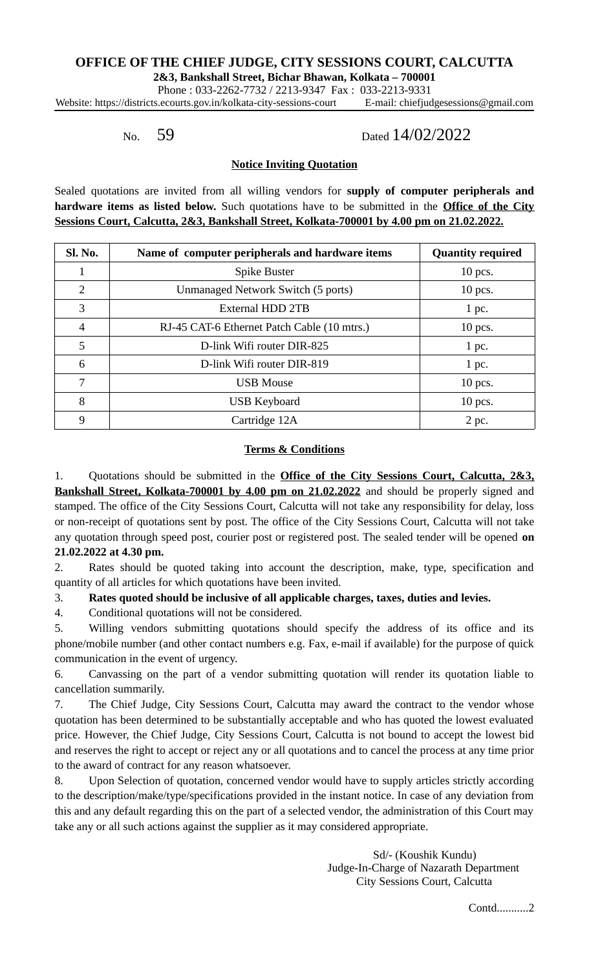## **OFFICE OF THE CHIEF JUDGE, CITY SESSIONS COURT, CALCUTTA**

**2&3, Bankshall Street, Bichar Bhawan, Kolkata – 700001**

Phone : 033-2262-7732 / 2213-9347 Fax : 033-2213-9331 Website: https://districts.ecourts.gov.in/kolkata-city-sessions-court E-mail: chiefjudgesessions@gmail.com

# No. 59 Dated 14/02/2022

## **Notice Inviting Quotation**

Sealed quotations are invited from all willing vendors for **supply of computer peripherals and hardware items as listed below.** Such quotations have to be submitted in the **Office of the City Sessions Court, Calcutta, 2&3, Bankshall Street, Kolkata-700001 by 4.00 pm on 21.02.2022.**

| Sl. No.        | Name of computer peripherals and hardware items | <b>Quantity required</b> |
|----------------|-------------------------------------------------|--------------------------|
| 1              | Spike Buster                                    | $10$ pcs.                |
| $\overline{2}$ | Unmanaged Network Switch (5 ports)              | $10$ pcs.                |
| 3              | External HDD 2TB                                | 1 pc.                    |
| $\overline{4}$ | RJ-45 CAT-6 Ethernet Patch Cable (10 mtrs.)     | 10 pcs.                  |
| 5              | D-link Wifi router DIR-825                      | 1 pc.                    |
| 6              | D-link Wifi router DIR-819                      | 1 pc.                    |
| 7              | <b>USB Mouse</b>                                | $10$ pcs.                |
| 8              | <b>USB Keyboard</b>                             | $10$ pcs.                |
| 9              | Cartridge 12A                                   | 2 pc.                    |

### **Terms & Conditions**

1. Quotations should be submitted in the **Office of the City Sessions Court, Calcutta, 2&3, Bankshall Street, Kolkata-700001 by 4.00 pm on 21.02.2022** and should be properly signed and stamped. The office of the City Sessions Court, Calcutta will not take any responsibility for delay, loss or non-receipt of quotations sent by post. The office of the City Sessions Court, Calcutta will not take any quotation through speed post, courier post or registered post. The sealed tender will be opened **on 21.02.2022 at 4.30 pm.**

2. Rates should be quoted taking into account the description, make, type, specification and quantity of all articles for which quotations have been invited.

3. **Rates quoted should be inclusive of all applicable charges, taxes, duties and levies.**

4. Conditional quotations will not be considered.

5. Willing vendors submitting quotations should specify the address of its office and its phone/mobile number (and other contact numbers e.g. Fax, e-mail if available) for the purpose of quick communication in the event of urgency.

6. Canvassing on the part of a vendor submitting quotation will render its quotation liable to cancellation summarily.

7. The Chief Judge, City Sessions Court, Calcutta may award the contract to the vendor whose quotation has been determined to be substantially acceptable and who has quoted the lowest evaluated price. However, the Chief Judge, City Sessions Court, Calcutta is not bound to accept the lowest bid and reserves the right to accept or reject any or all quotations and to cancel the process at any time prior to the award of contract for any reason whatsoever.

8. Upon Selection of quotation, concerned vendor would have to supply articles strictly according to the description/make/type/specifications provided in the instant notice. In case of any deviation from this and any default regarding this on the part of a selected vendor, the administration of this Court may take any or all such actions against the supplier as it may considered appropriate.

> Sd/- (Koushik Kundu) Judge-In-Charge of Nazarath Department City Sessions Court, Calcutta

> > Contd...........2